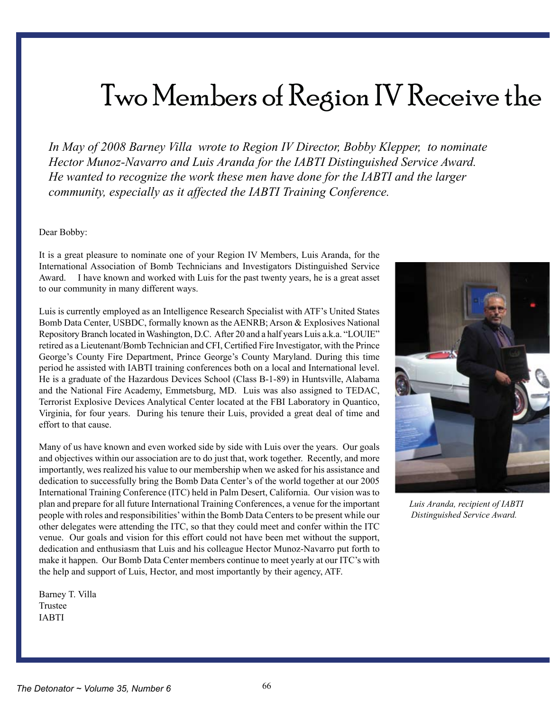## Two Members of Region IV Receive the

*In May of 2008 Barney Villa wrote to Region IV Director, Bobby Klepper, to nominate Hector Munoz-Navarro and Luis Aranda for the IABTI Distinguished Service Award. He wanted to recognize the work these men have done for the IABTI and the larger community, especially as it affected the IABTI Training Conference.* 

Dear Bobby:

It is a great pleasure to nominate one of your Region IV Members, Luis Aranda, for the International Association of Bomb Technicians and Investigators Distinguished Service Award. I have known and worked with Luis for the past twenty years, he is a great asset to our community in many different ways.

Luis is currently employed as an Intelligence Research Specialist with ATF's United States Bomb Data Center, USBDC, formally known as the AENRB; Arson & Explosives National Repository Branch located inWashington, D.C. After 20 and a half years Luis a.k.a. "LOUIE" retired as a Lieutenant/Bomb Technician and CFI, Certified Fire Investigator, with the Prince George's County Fire Department, Prince George's County Maryland. During this time period he assisted with IABTI training conferences both on a local and International level. He is a graduate of the Hazardous Devices School (Class B-1-89) in Huntsville, Alabama and the National Fire Academy, Emmetsburg, MD. Luis was also assigned to TEDAC, Terrorist Explosive Devices Analytical Center located at the FBI Laboratory in Quantico, Virginia, for four years. During his tenure their Luis, provided a great deal of time and effort to that cause.

Many of us have known and even worked side by side with Luis over the years. Our goals and objectives within our association are to do just that, work together. Recently, and more importantly, wes realized his value to our membership when we asked for his assistance and dedication to successfully bring the Bomb Data Center's of the world together at our 2005 International Training Conference (ITC) held in Palm Desert, California. Our vision was to plan and prepare for all future International Training Conferences, a venue for the important people with roles and responsibilities'within the Bomb Data Centersto be present while our other delegates were attending the ITC, so that they could meet and confer within the ITC venue. Our goals and vision for this effort could not have been met without the support, dedication and enthusiasm that Luis and his colleague Hector Munoz-Navarro put forth to make it happen. Our Bomb Data Center members continue to meet yearly at our ITC's with the help and support of Luis, Hector, and most importantly by their agency, ATF.

Barney T. Villa Trustee IABTI



 *Luis Aranda, recipient of IABTI Distinguished Service Award.*